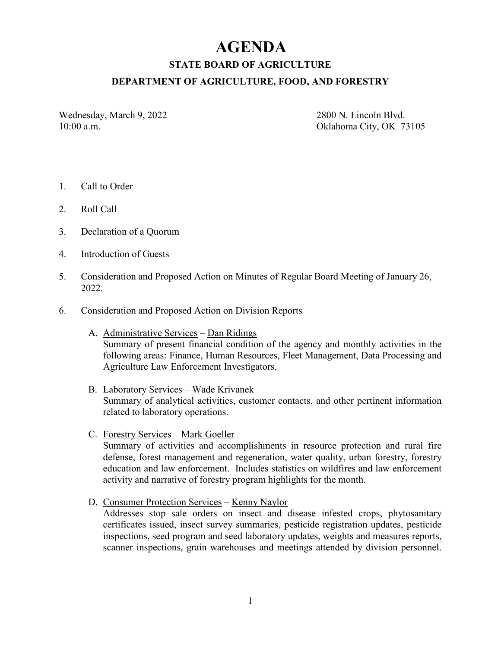# **AGENDA**

**STATE BOARD OF AGRICULTURE**

#### **DEPARTMENT OF AGRICULTURE, FOOD, AND FORESTRY**

Wednesday, March 9, 2022 2800 N. Lincoln Blvd.

10:00 a.m. Oklahoma City, OK 73105

- 1. Call to Order
- 2. Roll Call
- 3. Declaration of a Quorum
- 4. Introduction of Guests
- 5. Consideration and Proposed Action on Minutes of Regular Board Meeting of January 26, 2022.
- 6. Consideration and Proposed Action on Division Reports
	- A. Administrative Services Dan Ridings Summary of present financial condition of the agency and monthly activities in the following areas: Finance, Human Resources, Fleet Management, Data Processing and Agriculture Law Enforcement Investigators.
	- B. Laboratory Services Wade Krivanek Summary of analytical activities, customer contacts, and other pertinent information related to laboratory operations.
	- C. Forestry Services Mark Goeller Summary of activities and accomplishments in resource protection and rural fire defense, forest management and regeneration, water quality, urban forestry, forestry education and law enforcement. Includes statistics on wildfires and law enforcement activity and narrative of forestry program highlights for the month.
	- D. Consumer Protection Services Kenny Naylor Addresses stop sale orders on insect and disease infested crops, phytosanitary certificates issued, insect survey summaries, pesticide registration updates, pesticide inspections, seed program and seed laboratory updates, weights and measures reports, scanner inspections, grain warehouses and meetings attended by division personnel.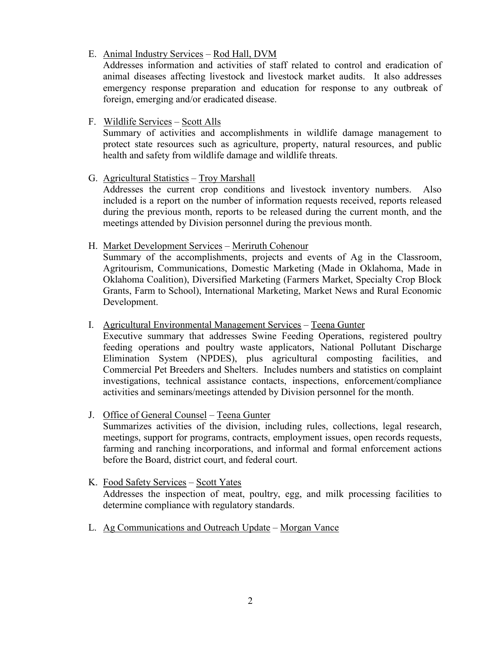## E. Animal Industry Services – Rod Hall, DVM

Addresses information and activities of staff related to control and eradication of animal diseases affecting livestock and livestock market audits. It also addresses emergency response preparation and education for response to any outbreak of foreign, emerging and/or eradicated disease.

## F. Wildlife Services – Scott Alls

Summary of activities and accomplishments in wildlife damage management to protect state resources such as agriculture, property, natural resources, and public health and safety from wildlife damage and wildlife threats.

## G. Agricultural Statistics – Troy Marshall

Addresses the current crop conditions and livestock inventory numbers. Also included is a report on the number of information requests received, reports released during the previous month, reports to be released during the current month, and the meetings attended by Division personnel during the previous month.

## H. Market Development Services – Meriruth Cohenour

Summary of the accomplishments, projects and events of Ag in the Classroom, Agritourism, Communications, Domestic Marketing (Made in Oklahoma, Made in Oklahoma Coalition), Diversified Marketing (Farmers Market, Specialty Crop Block Grants, Farm to School), International Marketing, Market News and Rural Economic Development.

## I. Agricultural Environmental Management Services – Teena Gunter

Executive summary that addresses Swine Feeding Operations, registered poultry feeding operations and poultry waste applicators, National Pollutant Discharge Elimination System (NPDES), plus agricultural composting facilities, and Commercial Pet Breeders and Shelters. Includes numbers and statistics on complaint investigations, technical assistance contacts, inspections, enforcement/compliance activities and seminars/meetings attended by Division personnel for the month.

## J. Office of General Counsel – Teena Gunter

Summarizes activities of the division, including rules, collections, legal research, meetings, support for programs, contracts, employment issues, open records requests, farming and ranching incorporations, and informal and formal enforcement actions before the Board, district court, and federal court.

## K. Food Safety Services – Scott Yates Addresses the inspection of meat, poultry, egg, and milk processing facilities to determine compliance with regulatory standards.

L. Ag Communications and Outreach Update – Morgan Vance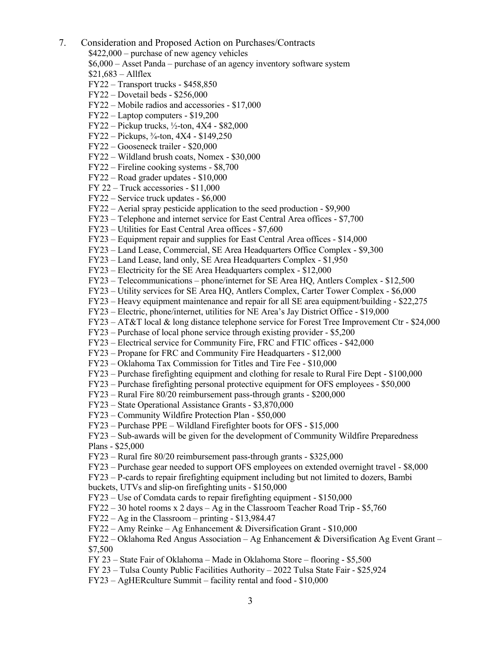7. Consideration and Proposed Action on Purchases/Contracts

\$422,000 – purchase of new agency vehicles

- \$6,000 Asset Panda purchase of an agency inventory software system
- $$21,683 Allflex$
- FY22 Transport trucks \$458,850
- FY22 Dovetail beds \$256,000
- FY22 Mobile radios and accessories \$17,000
- FY22 Laptop computers \$19,200
- $FY22 Pickup trucks, ½-ton, 4X4 $82,000$
- FY22 Pickups, ¾-ton, 4X4 \$149,250
- FY22 Gooseneck trailer \$20,000
- FY22 Wildland brush coats, Nomex \$30,000
- FY22 Fireline cooking systems \$8,700
- FY22 Road grader updates \$10,000
- FY 22 Truck accessories \$11,000
- FY22 Service truck updates \$6,000
- FY22 Aerial spray pesticide application to the seed production \$9,900
- FY23 Telephone and internet service for East Central Area offices \$7,700
- FY23 Utilities for East Central Area offices \$7,600
- FY23 Equipment repair and supplies for East Central Area offices \$14,000
- FY23 Land Lease, Commercial, SE Area Headquarters Office Complex \$9,300
- FY23 Land Lease, land only, SE Area Headquarters Complex \$1,950
- FY23 Electricity for the SE Area Headquarters complex \$12,000
- FY23 Telecommunications phone/internet for SE Area HQ, Antlers Complex \$12,500
- FY23 Utility services for SE Area HQ, Antlers Complex, Carter Tower Complex \$6,000
- FY23 Heavy equipment maintenance and repair for all SE area equipment/building \$22,275
- FY23 Electric, phone/internet, utilities for NE Area's Jay District Office \$19,000
- FY23 AT&T local & long distance telephone service for Forest Tree Improvement Ctr \$24,000
- FY23 Purchase of local phone service through existing provider \$5,200
- FY23 Electrical service for Community Fire, FRC and FTIC offices \$42,000
- FY23 Propane for FRC and Community Fire Headquarters \$12,000
- FY23 Oklahoma Tax Commission for Titles and Tire Fee \$10,000
- FY23 Purchase firefighting equipment and clothing for resale to Rural Fire Dept \$100,000
- FY23 Purchase firefighting personal protective equipment for OFS employees \$50,000
- FY23 Rural Fire 80/20 reimbursement pass-through grants \$200,000
- FY23 State Operational Assistance Grants \$3,870,000
- FY23 Community Wildfire Protection Plan \$50,000
- FY23 Purchase PPE Wildland Firefighter boots for OFS \$15,000
- FY23 Sub-awards will be given for the development of Community Wildfire Preparedness
- Plans \$25,000
- FY23 Rural fire 80/20 reimbursement pass-through grants \$325,000
- FY23 Purchase gear needed to support OFS employees on extended overnight travel \$8,000
- FY23 P-cards to repair firefighting equipment including but not limited to dozers, Bambi
- buckets, UTVs and slip-on firefighting units \$150,000
- FY23 Use of Comdata cards to repair firefighting equipment \$150,000
- FY22 30 hotel rooms x 2 days Ag in the Classroom Teacher Road Trip \$5,760
- FY22 Ag in the Classroom printing \$13,984.47
- FY22 Amy Reinke Ag Enhancement & Diversification Grant \$10,000
- FY22 Oklahoma Red Angus Association Ag Enhancement & Diversification Ag Event Grant \$7,500
- FY 23 State Fair of Oklahoma Made in Oklahoma Store flooring \$5,500
- FY 23 Tulsa County Public Facilities Authority 2022 Tulsa State Fair \$25,924
- FY23 AgHERculture Summit facility rental and food \$10,000